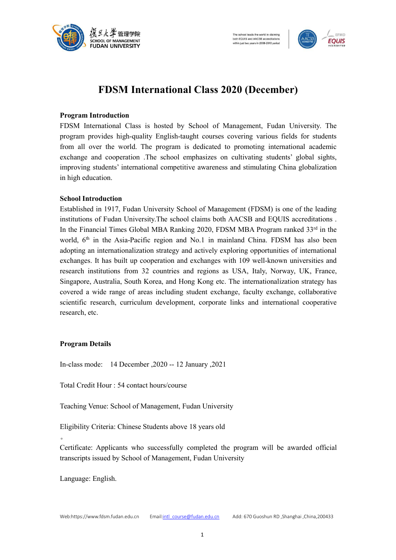



# **FDSM International Class 2020 (December)**

## **Program Introduction**

FDSM International Class is hosted by School of Management, Fudan University. The program provides high-quality English-taught courses covering various fields for students from all over the world. The program is dedicated to promoting international academic exchange and cooperation .The school emphasizes on cultivating students' global sights, improving students' international competitive awareness and stimulating China globalization in high education.

### **School Introduction**

Established in 1917, Fudan University School of Management (FDSM) is one of the leading institutions of Fudan University.The school claims both AACSB and EQUIS accreditations . In the Financial Times Global MBA Ranking 2020, FDSM MBA Program ranked 33<sup>rd</sup> in the world, 6<sup>th</sup> in the Asia-Pacific region and No.1 in mainland China. FDSM has also been adopting an internationalization strategy and actively exploring opportunities of international exchanges. It has built up cooperation and exchanges with 109 well-known universities and research institutions from 32 countries and regions as USA, Italy, Norway, UK, France, Singapore, Australia, South Korea, and Hong Kong etc. The internationalization strategy has covered a wide range of areas including student exchange, faculty exchange, collaborative scientific research, curriculum development, corporate links and international cooperative research, etc.

### **Program Details**

In-class mode: 14 December ,2020 -- 12 January ,2021

Total Credit Hour : 54 contact hours/course

Teaching Venue: School of Management, Fudan University

Eligibility Criteria: Chinese Students above 18 years old

 $\bullet$ 

Certificate: Applicants who successfully completed the program will be awarded official transcripts issued by School of Management, Fudan University

Language: English.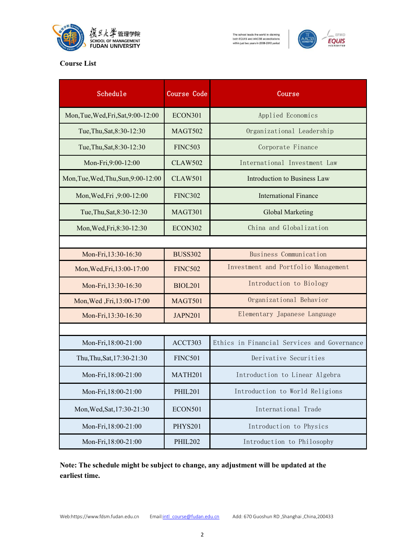

# The school leads the world in claiming<br>both EQUIS and AACSB accreditations<br>within just two years in 2008-2010 period



# **Course List**

| Schedule                            | Course Code    | Course                                      |
|-------------------------------------|----------------|---------------------------------------------|
| Mon, Tue, Wed, Fri, Sat, 9:00-12:00 | <b>ECON301</b> | Applied Economics                           |
| Tue, Thu, Sat, 8:30-12:30           | <b>MAGT502</b> | Organizational Leadership                   |
| Tue, Thu, Sat, 8:30-12:30           | <b>FINC503</b> | Corporate Finance                           |
| Mon-Fri, 9:00-12:00                 | <b>CLAW502</b> | International Investment Law                |
| Mon, Tue, Wed, Thu, Sun, 9:00-12:00 | <b>CLAW501</b> | Introduction to Business Law                |
| Mon, Wed, Fri , 9:00-12:00          | <b>FINC302</b> | <b>International Finance</b>                |
| Tue, Thu, Sat, 8:30-12:30           | MAGT301        | Global Marketing                            |
| Mon, Wed, Fri, 8:30-12:30           | <b>ECON302</b> | China and Globalization                     |
|                                     |                |                                             |
| Mon-Fri, 13:30-16:30                | <b>BUSS302</b> | Business Communication                      |
| Mon, Wed, Fri, 13:00-17:00          | <b>FINC502</b> | Investment and Portfolio Management         |
| Mon-Fri, 13:30-16:30                | <b>BIOL201</b> | Introduction to Biology                     |
| Mon, Wed, Fri, 13:00-17:00          | MAGT501        | Organizational Behavior                     |
| Mon-Fri, 13:30-16:30                | <b>JAPN201</b> | Elementary Japanese Language                |
|                                     |                |                                             |
| Mon-Fri, 18:00-21:00                | ACCT303        | Ethics in Financial Services and Governance |
| Thu, Thu, Sat, 17:30-21:30          | <b>FINC501</b> | Derivative Securities                       |
| Mon-Fri, 18:00-21:00                | MATH201        | Introduction to Linear Algebra              |
| Mon-Fri, 18:00-21:00                | <b>PHIL201</b> | Introduction to World Religions             |
| Mon, Wed, Sat, 17:30-21:30          | <b>ECON501</b> | International Trade                         |
| Mon-Fri, 18:00-21:00                | <b>PHYS201</b> | Introduction to Physics                     |
| Mon-Fri, 18:00-21:00                | <b>PHIL202</b> | Introduction to Philosophy                  |

**Note: The schedule might be subject to change, any adjustment will be updated at the earliest time.**